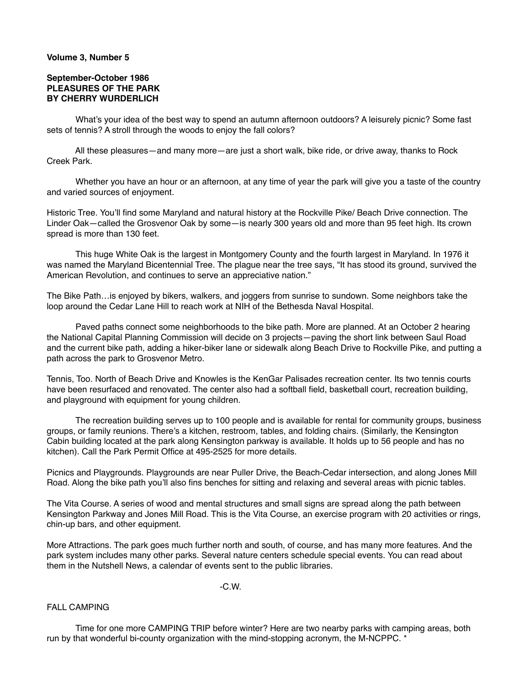## **Volume 3, Number 5**

## **September-October 1986 PLEASURES OF THE PARK BY CHERRY WURDERLICH**

 What's your idea of the best way to spend an autumn afternoon outdoors? A leisurely picnic? Some fast sets of tennis? A stroll through the woods to enjoy the fall colors?

 All these pleasures—and many more—are just a short walk, bike ride, or drive away, thanks to Rock Creek Park.

 Whether you have an hour or an afternoon, at any time of year the park will give you a taste of the country and varied sources of enjoyment.

Historic Tree. You'll find some Maryland and natural history at the Rockville Pike/ Beach Drive connection. The Linder Oak—called the Grosvenor Oak by some—is nearly 300 years old and more than 95 feet high. Its crown spread is more than 130 feet.

 This huge White Oak is the largest in Montgomery County and the fourth largest in Maryland. In 1976 it was named the Maryland Bicentennial Tree. The plague near the tree says, "It has stood its ground, survived the American Revolution, and continues to serve an appreciative nation."

The Bike Path…is enjoyed by bikers, walkers, and joggers from sunrise to sundown. Some neighbors take the loop around the Cedar Lane Hill to reach work at NIH of the Bethesda Naval Hospital.

 Paved paths connect some neighborhoods to the bike path. More are planned. At an October 2 hearing the National Capital Planning Commission will decide on 3 projects—paving the short link between Saul Road and the current bike path, adding a hiker-biker lane or sidewalk along Beach Drive to Rockville Pike, and putting a path across the park to Grosvenor Metro.

Tennis, Too. North of Beach Drive and Knowles is the KenGar Palisades recreation center. Its two tennis courts have been resurfaced and renovated. The center also had a softball field, basketball court, recreation building, and playground with equipment for young children.

 The recreation building serves up to 100 people and is available for rental for community groups, business groups, or family reunions. There's a kitchen, restroom, tables, and folding chairs. (Similarly, the Kensington Cabin building located at the park along Kensington parkway is available. It holds up to 56 people and has no kitchen). Call the Park Permit Office at 495-2525 for more details.

Picnics and Playgrounds. Playgrounds are near Puller Drive, the Beach-Cedar intersection, and along Jones Mill Road. Along the bike path you'll also fins benches for sitting and relaxing and several areas with picnic tables.

The Vita Course. A series of wood and mental structures and small signs are spread along the path between Kensington Parkway and Jones Mill Road. This is the Vita Course, an exercise program with 20 activities or rings, chin-up bars, and other equipment.

More Attractions. The park goes much further north and south, of course, and has many more features. And the park system includes many other parks. Several nature centers schedule special events. You can read about them in the Nutshell News, a calendar of events sent to the public libraries.

 $-C.W.$ 

## FALL CAMPING

 Time for one more CAMPING TRIP before winter? Here are two nearby parks with camping areas, both run by that wonderful bi-county organization with the mind-stopping acronym, the M-NCPPC. \*